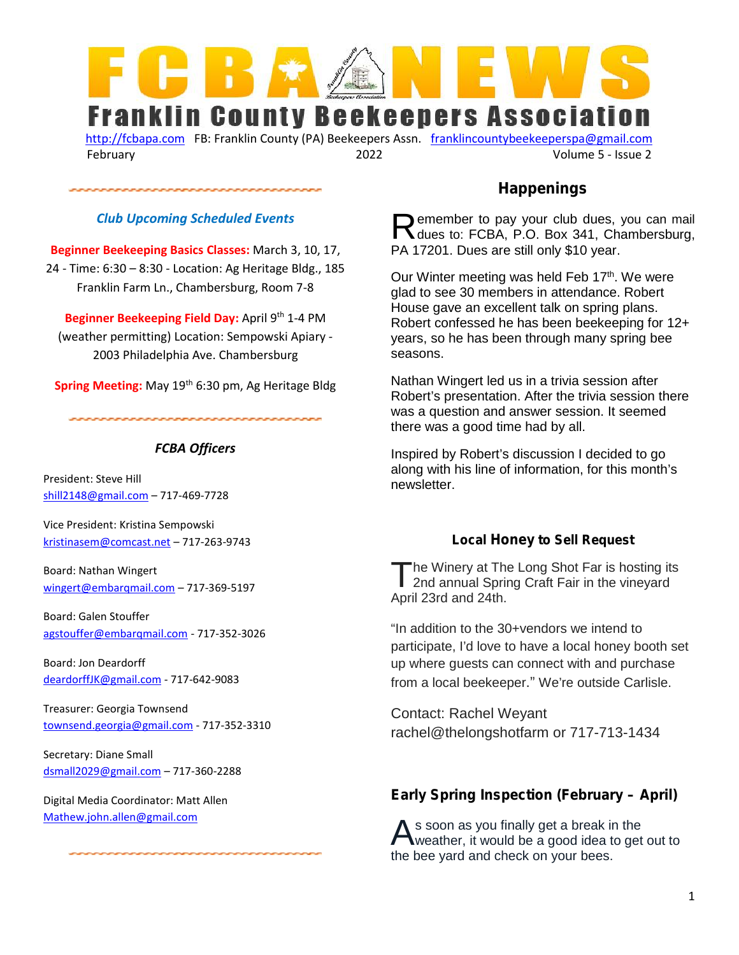

http://fcbapa.com FB: Franklin County (PA) Beekeepers Assn. franklincountybeekeeperspa@gmail.com February 2022 Volume 5 - Issue 2

#### *Club Upcoming Scheduled Events*

**Beginner Beekeeping Basics Classes:** March 3, 10, 17, 24 - Time: 6:30 – 8:30 - Location: Ag Heritage Bldg., 185 Franklin Farm Ln., Chambersburg, Room 7-8

**Beginner Beekeeping Field Day:** April 9<sup>th</sup> 1-4 PM (weather permitting) Location: Sempowski Apiary - 2003 Philadelphia Ave. Chambersburg

**Spring Meeting:** May 19<sup>th</sup> 6:30 pm, Ag Heritage Bldg

### *FCBA Officers*

President: Steve Hill shill2148@gmail.com – 717-469-7728

Vice President: Kristina Sempowski kristinasem@comcast.net – 717-263-9743

Board: Nathan Wingert wingert@embarqmail.com – 717-369-5197

Board: Galen Stouffer agstouffer@embarqmail.com - 717-352-3026

Board: Jon Deardorff deardorffJK@gmail.com - 717-642-9083

Treasurer: Georgia Townsend townsend.georgia@gmail.com - 717-352-3310

Secretary: Diane Small dsmall2029@gmail.com – 717-360-2288

Digital Media Coordinator: Matt Allen Mathew.john.allen@gmail.com

### **Happenings**

emember to pay your club dues, you can mail Remember to pay your club dues, you can mail<br>dues to: FCBA, P.O. Box 341, Chambersburg, PA 17201. Dues are still only \$10 year.

Our Winter meeting was held Feb 17<sup>th</sup>. We were glad to see 30 members in attendance. Robert House gave an excellent talk on spring plans. Robert confessed he has been beekeeping for 12+ years, so he has been through many spring bee seasons.

Nathan Wingert led us in a trivia session after Robert's presentation. After the trivia session there was a question and answer session. It seemed there was a good time had by all.

Inspired by Robert's discussion I decided to go along with his line of information, for this month's newsletter.

#### **Local Honey to Sell Request**

The Winery at The Long Shot Far is hosting its<br>2nd annual Spring Craft Fair in the vineyard 2nd annual Spring Craft Fair in the vineyard April 23rd and 24th.

"In addition to the 30+vendors we intend to participate, I'd love to have a local honey booth set up where guests can connect with and purchase from a local beekeeper." We're outside Carlisle.

Contact: Rachel Weyant rachel@thelongshotfarm or 717-713-1434

### **Early Spring Inspection (February – April)**

s soon as you finally get a break in the As soon as you finally get a break in the<br>weather, it would be a good idea to get out to the bee yard and check on your bees.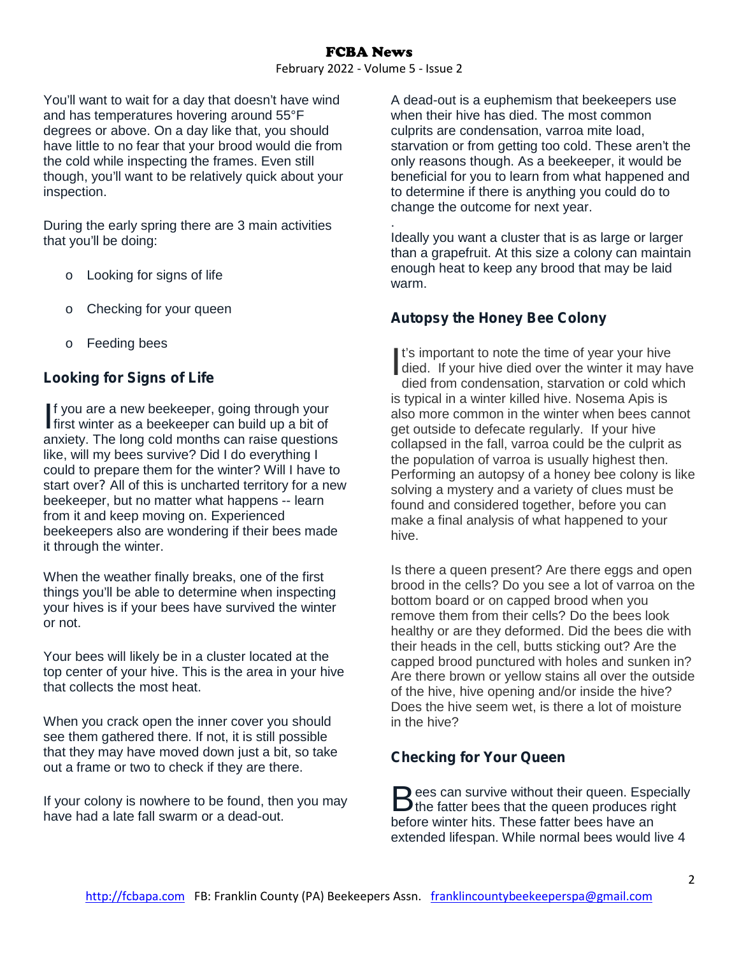# FCBA News

February 2022 - Volume 5 - Issue 2

You'll want to wait for a day that doesn't have wind and has temperatures hovering around 55°F degrees or above. On a day like that, you should have little to no fear that your brood would die from the cold while inspecting the frames. Even still though, you'll want to be relatively quick about your inspection.

During the early spring there are 3 main activities that you'll be doing:

- o Looking for signs of life
- o Checking for your queen
- o Feeding bees

# **Looking for Signs of Life**

f you are a new beekeeper, going through your If you are a new beekeeper, going through your<br>first winter as a beekeeper can build up a bit of anxiety. The long cold months can raise questions like, will my bees survive? Did I do everything I could to prepare them for the winter? Will I have to start over*?* All of this is uncharted territory for a new beekeeper, but no matter what happens -- learn from it and keep moving on. Experienced beekeepers also are wondering if their bees made it through the winter.

When the weather finally breaks, one of the first things you'll be able to determine when inspecting your hives is if your bees have survived the winter or not.

Your bees will likely be in a cluster located at the top center of your hive. This is the area in your hive that collects the most heat.

When you crack open the inner cover you should see them gathered there. If not, it is still possible that they may have moved down just a bit, so take out a frame or two to check if they are there.

If your colony is nowhere to be found, then you may have had a late fall swarm or a dead-out.

A dead-out is a euphemism that beekeepers use when their hive has died. The most common culprits are condensation, varroa mite load, starvation or from getting too cold. These aren't the only reasons though. As a beekeeper, it would be beneficial for you to learn from what happened and to determine if there is anything you could do to change the outcome for next year.

. Ideally you want a cluster that is as large or larger than a grapefruit. At this size a colony can maintain enough heat to keep any brood that may be laid warm.

# **Autopsy the Honey Bee Colony**

I's important to note the time of year your hive<br>died. If your hive died over the winter it may have<br>died from condensation, starvation or cold which died. If your hive died over the winter it may have died from condensation, starvation or cold which is typical in a winter killed hive. Nosema Apis is also more common in the winter when bees cannot get outside to defecate regularly. If your hive collapsed in the fall, varroa could be the culprit as the population of varroa is usually highest then. Performing an autopsy of a honey bee colony is like solving a mystery and a variety of clues must be found and considered together, before you can make a final analysis of what happened to your hive.

Is there a queen present? Are there eggs and open brood in the cells? Do you see a lot of varroa on the bottom board or on capped brood when you remove them from their cells? Do the bees look healthy or are they deformed. Did the bees die with their heads in the cell, butts sticking out? Are the capped brood punctured with holes and sunken in? Are there brown or yellow stains all over the outside of the hive, hive opening and/or inside the hive? Does the hive seem wet, is there a lot of moisture in the hive?

# **Checking for Your Queen**

 $\Box$  ees can survive without their queen. Especially Bees can survive without their queen. Especially<br>the fatter bees that the queen produces right before winter hits. These fatter bees have an extended lifespan. While normal bees would live 4